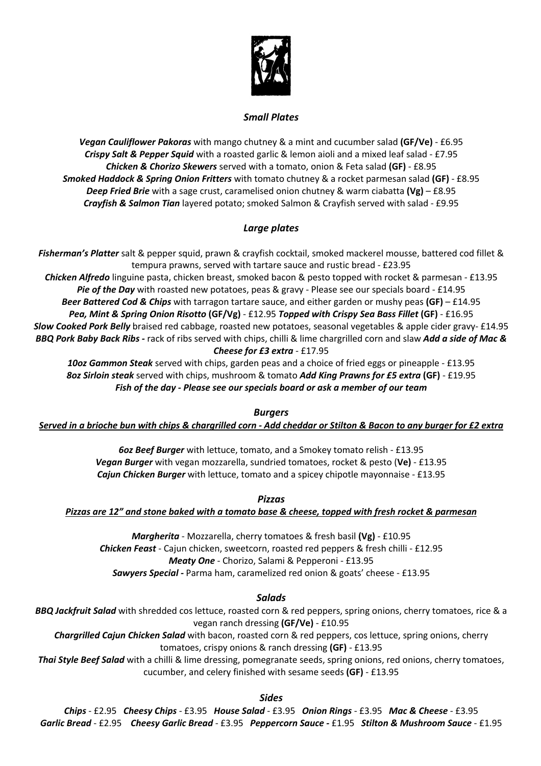

### *Small Plates*

*Vegan Cauliflower Pakoras* with mango chutney & a mint and cucumber salad **(GF/Ve)** - £6.95 *Crispy Salt & Pepper Squid* with a roasted garlic & lemon aioli and a mixed leaf salad - £7.95 *Chicken & Chorizo Skewers* served with a tomato, onion & Feta salad **(GF)** - £8.95 *Smoked Haddock & Spring Onion Fritters* with tomato chutney & a rocket parmesan salad **(GF)** - £8.95 *Deep Fried Brie* with a sage crust, caramelised onion chutney & warm ciabatta **(Vg)** – £8.95 *Crayfish & Salmon Tian* layered potato; smoked Salmon & Crayfish served with salad - £9.95

# *Large plates*

*Fisherman's Platter* salt & pepper squid, prawn & crayfish cocktail, smoked mackerel mousse, battered cod fillet & tempura prawns, served with tartare sauce and rustic bread - £23.95 *Chicken Alfredo* linguine pasta, chicken breast, smoked bacon & pesto topped with rocket & parmesan - £13.95 *Pie of the Day* with roasted new potatoes, peas & gravy - Please see our specials board - £14.95 *Beer Battered Cod & Chips* with tarragon tartare sauce, and either garden or mushy peas **(GF)** – £14.95 *Pea, Mint & Spring Onion Risotto* **(GF/Vg)** - £12.95 *Topped with Crispy Sea Bass Fillet* **(GF)** - £16.95 *Slow Cooked Pork Belly* braised red cabbage, roasted new potatoes, seasonal vegetables & apple cider gravy- £14.95 *BBQ Pork Baby Back Ribs -* rack of ribs served with chips, chilli & lime chargrilled corn and slaw *Add a side of Mac & Cheese for £3 extra* - £17.95

*10oz Gammon Steak* served with chips, garden peas and a choice of fried eggs or pineapple - £13.95 *8oz Sirloin steak* served with chips, mushroom & tomato *Add King Prawns for £5 extra* **(GF)** - £19.95 *Fish of the day - Please see our specials board or ask a member of our team*

*Burgers*

*Served in a brioche bun with chips & chargrilled corn - Add cheddar or Stilton & Bacon to any burger for £2 extra*

*6oz Beef Burger* with lettuce, tomato, and a Smokey tomato relish - £13.95 *Vegan Burger* with vegan mozzarella, sundried tomatoes, rocket & pesto (**Ve)** - £13.95 *Cajun Chicken Burger* with lettuce, tomato and a spicey chipotle mayonnaise - £13.95

*Pizzas*

*Pizzas are 12" and stone baked with a tomato base & cheese, topped with fresh rocket & parmesan*

*Margherita* - Mozzarella, cherry tomatoes & fresh basil **(Vg)** - £10.95 *Chicken Feast* - Cajun chicken, sweetcorn, roasted red peppers & fresh chilli - £12.95 *Meaty One* - Chorizo, Salami & Pepperoni - £13.95 *Sawyers Special -* Parma ham, caramelized red onion & goats' cheese - £13.95

## *Salads*

*BBQ Jackfruit Salad* with shredded cos lettuce, roasted corn & red peppers, spring onions, cherry tomatoes, rice & a vegan ranch dressing **(GF/Ve)** - £10.95

*Chargrilled Cajun Chicken Salad* with bacon, roasted corn & red peppers, cos lettuce, spring onions, cherry tomatoes, crispy onions & ranch dressing **(GF)** - £13.95

*Thai Style Beef Salad* with a chilli & lime dressing, pomegranate seeds, spring onions, red onions, cherry tomatoes, cucumber, and celery finished with sesame seeds **(GF)** - £13.95

*Sides* 

*Chips* - £2.95 *Cheesy Chips* - £3.95 *House Salad* - £3.95 *Onion Rings* - £3.95 *Mac & Cheese* - £3.95 *Garlic Bread* - £2.95 *Cheesy Garlic Bread* - £3.95 *Peppercorn Sauce -* £1.95 *Stilton & Mushroom Sauce* - £1.95